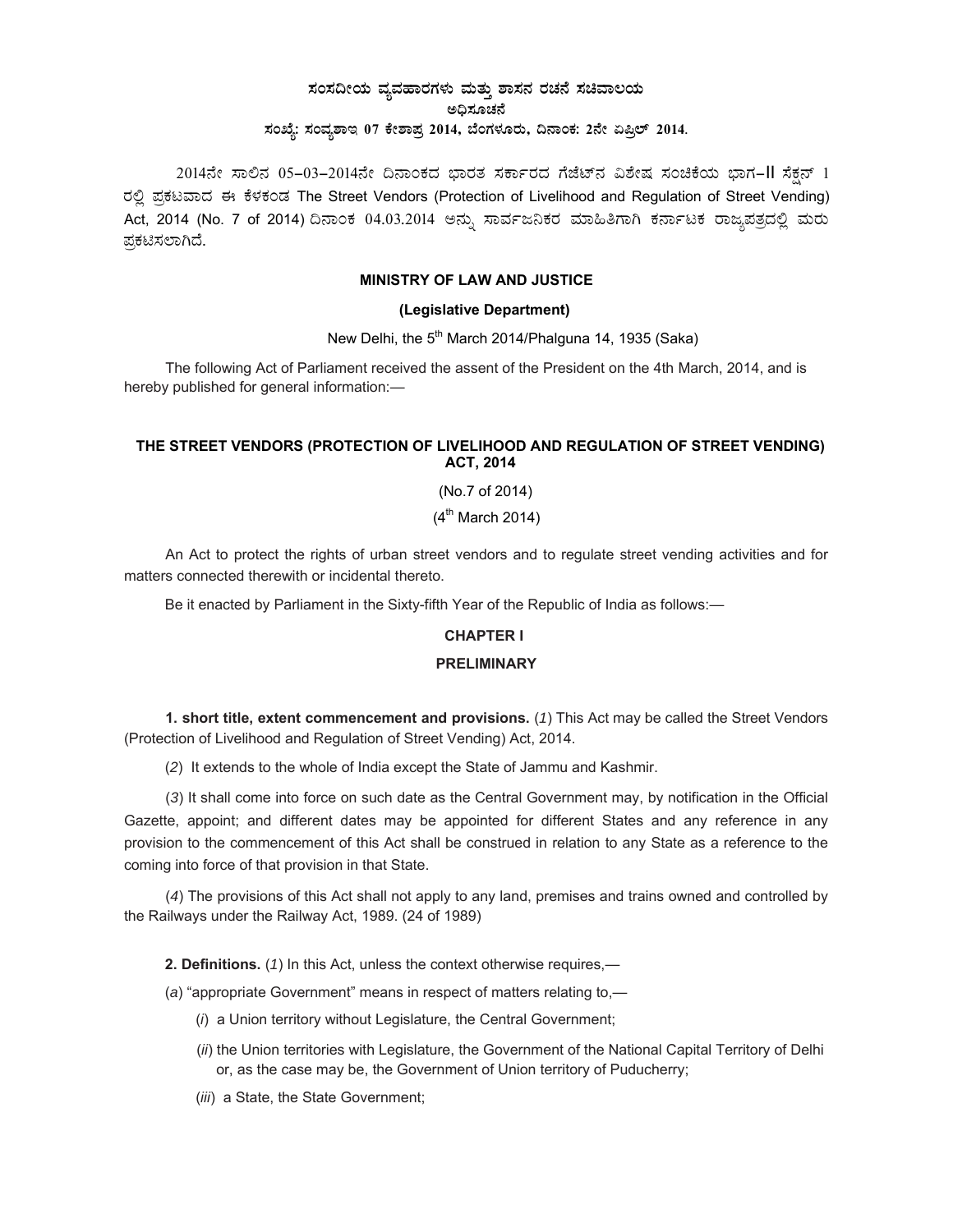# ಸಂಸದೀಯ ವ್ಯವಹಾರಗಳು ಮತ್ತು ಶಾಸನ ರಚನೆ ಸಚಿವಾಲಯ ಅಧಿಸೂಚನೆ ಸಂಖ್ಯೆ: ಸಂವ್ಯಶಾಇ 07 ಕೇಶಾಪ್ರ 2014, ಬೆಂಗಳೂರು, ದಿನಾಂಕ: 2ನೇ ಏಪ್ರಿಲ್ 2014.

2014ನೇ ಸಾಲಿನ 05-03-2014ನೇ ದಿನಾಂಕದ ಭಾರತ ಸರ್ಕಾರದ ಗೆಜೆಟ್ ವಿಶೇಷ ಸಂಚಿಕೆಯ ಭಾಗ-II ಸೆಕ್ಷನ್ 1 ರಲ್ಲಿ ಪ್ರಕಟವಾದ ಈ ಕೆಳಕಂಡ The Street Vendors (Protection of Livelihood and Regulation of Street Vending) Act, 2014 (No. 7 of 2014) ದಿನಾಂಕ 04.03.2014 ಅನ್ನು ಸಾರ್ವಜನಿಕರ ಮಾಹಿತಿಗಾಗಿ ಕರ್ನಾಟಕ ರಾಜ್ಯಪತ್ರದಲ್ಲಿ ಮರು ಪ್ರಕಟಿಸಲಾಗಿದೆ.

# **MINISTRY OF LAW AND JUSTICE**

# **(Legislative Department)**

New Delhi, the  $5<sup>th</sup>$  March 2014/Phalguna 14, 1935 (Saka)

The following Act of Parliament received the assent of the President on the 4th March, 2014, and is hereby published for general information:—

# **THE STREET VENDORS (PROTECTION OF LIVELIHOOD AND REGULATION OF STREET VENDING) ACT, 2014**

(No.7 of 2014)

 $(4<sup>th</sup>$  March 2014)

An Act to protect the rights of urban street vendors and to regulate street vending activities and for matters connected therewith or incidental thereto.

Be it enacted by Parliament in the Sixty-fifth Year of the Republic of India as follows:—

# **CHAPTER I**

# **PRELIMINARY**

**1. short title, extent commencement and provisions.** (*1*) This Act may be called the Street Vendors (Protection of Livelihood and Regulation of Street Vending) Act, 2014.

(*2*) It extends to the whole of India except the State of Jammu and Kashmir.

(*3*) It shall come into force on such date as the Central Government may, by notification in the Official Gazette, appoint; and different dates may be appointed for different States and any reference in any provision to the commencement of this Act shall be construed in relation to any State as a reference to the coming into force of that provision in that State.

(*4*) The provisions of this Act shall not apply to any land, premises and trains owned and controlled by the Railways under the Railway Act, 1989. (24 of 1989)

**2. Definitions.** (*1*) In this Act, unless the context otherwise requires,—

(*a*) "appropriate Government" means in respect of matters relating to,—

- (*i*) a Union territory without Legislature, the Central Government;
- (*ii*) the Union territories with Legislature, the Government of the National Capital Territory of Delhi or, as the case may be, the Government of Union territory of Puducherry;
- (*iii*) a State, the State Government;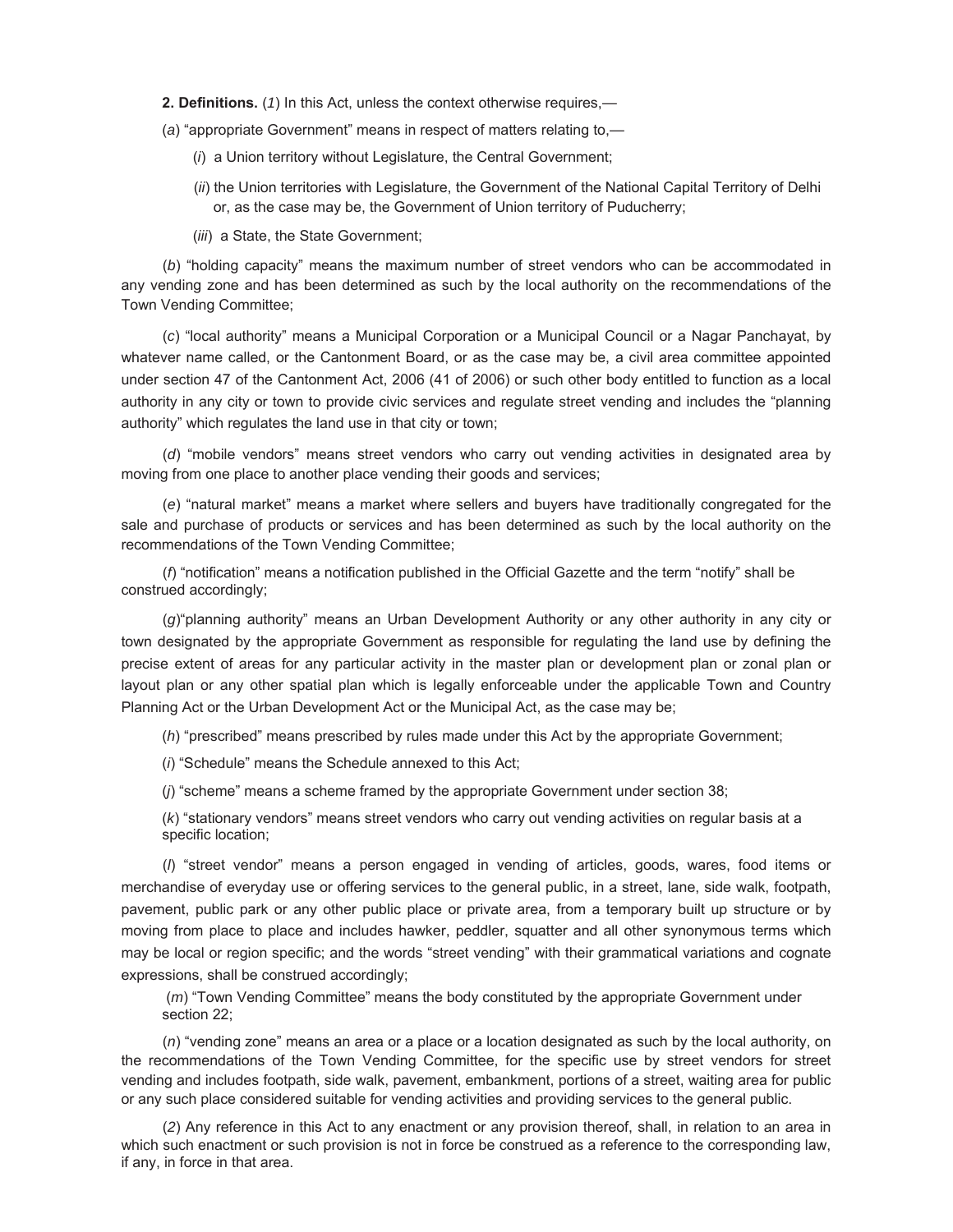**2. Definitions.** (*1*) In this Act, unless the context otherwise requires,—

(*a*) "appropriate Government" means in respect of matters relating to,—

(*i*) a Union territory without Legislature, the Central Government;

(*ii*) the Union territories with Legislature, the Government of the National Capital Territory of Delhi or, as the case may be, the Government of Union territory of Puducherry;

(*iii*) a State, the State Government;

(*b*) "holding capacity" means the maximum number of street vendors who can be accommodated in any vending zone and has been determined as such by the local authority on the recommendations of the Town Vending Committee;

(*c*) "local authority" means a Municipal Corporation or a Municipal Council or a Nagar Panchayat, by whatever name called, or the Cantonment Board, or as the case may be, a civil area committee appointed under section 47 of the Cantonment Act, 2006 (41 of 2006) or such other body entitled to function as a local authority in any city or town to provide civic services and regulate street vending and includes the "planning authority" which regulates the land use in that city or town;

(*d*) "mobile vendors" means street vendors who carry out vending activities in designated area by moving from one place to another place vending their goods and services;

(*e*) "natural market" means a market where sellers and buyers have traditionally congregated for the sale and purchase of products or services and has been determined as such by the local authority on the recommendations of the Town Vending Committee;

(*f*) "notification" means a notification published in the Official Gazette and the term "notify" shall be construed accordingly;

(*g*)"planning authority" means an Urban Development Authority or any other authority in any city or town designated by the appropriate Government as responsible for regulating the land use by defining the precise extent of areas for any particular activity in the master plan or development plan or zonal plan or layout plan or any other spatial plan which is legally enforceable under the applicable Town and Country Planning Act or the Urban Development Act or the Municipal Act, as the case may be;

(*h*) "prescribed" means prescribed by rules made under this Act by the appropriate Government;

(*i*) "Schedule" means the Schedule annexed to this Act;

(*j*) "scheme" means a scheme framed by the appropriate Government under section 38;

(*k*) "stationary vendors" means street vendors who carry out vending activities on regular basis at a specific location;

(*l*) "street vendor" means a person engaged in vending of articles, goods, wares, food items or merchandise of everyday use or offering services to the general public, in a street, lane, side walk, footpath, pavement, public park or any other public place or private area, from a temporary built up structure or by moving from place to place and includes hawker, peddler, squatter and all other synonymous terms which may be local or region specific; and the words "street vending" with their grammatical variations and cognate expressions, shall be construed accordingly;

 (*m*) "Town Vending Committee" means the body constituted by the appropriate Government under section 22;

(*n*) "vending zone" means an area or a place or a location designated as such by the local authority, on the recommendations of the Town Vending Committee, for the specific use by street vendors for street vending and includes footpath, side walk, pavement, embankment, portions of a street, waiting area for public or any such place considered suitable for vending activities and providing services to the general public.

(*2*) Any reference in this Act to any enactment or any provision thereof, shall, in relation to an area in which such enactment or such provision is not in force be construed as a reference to the corresponding law, if any, in force in that area.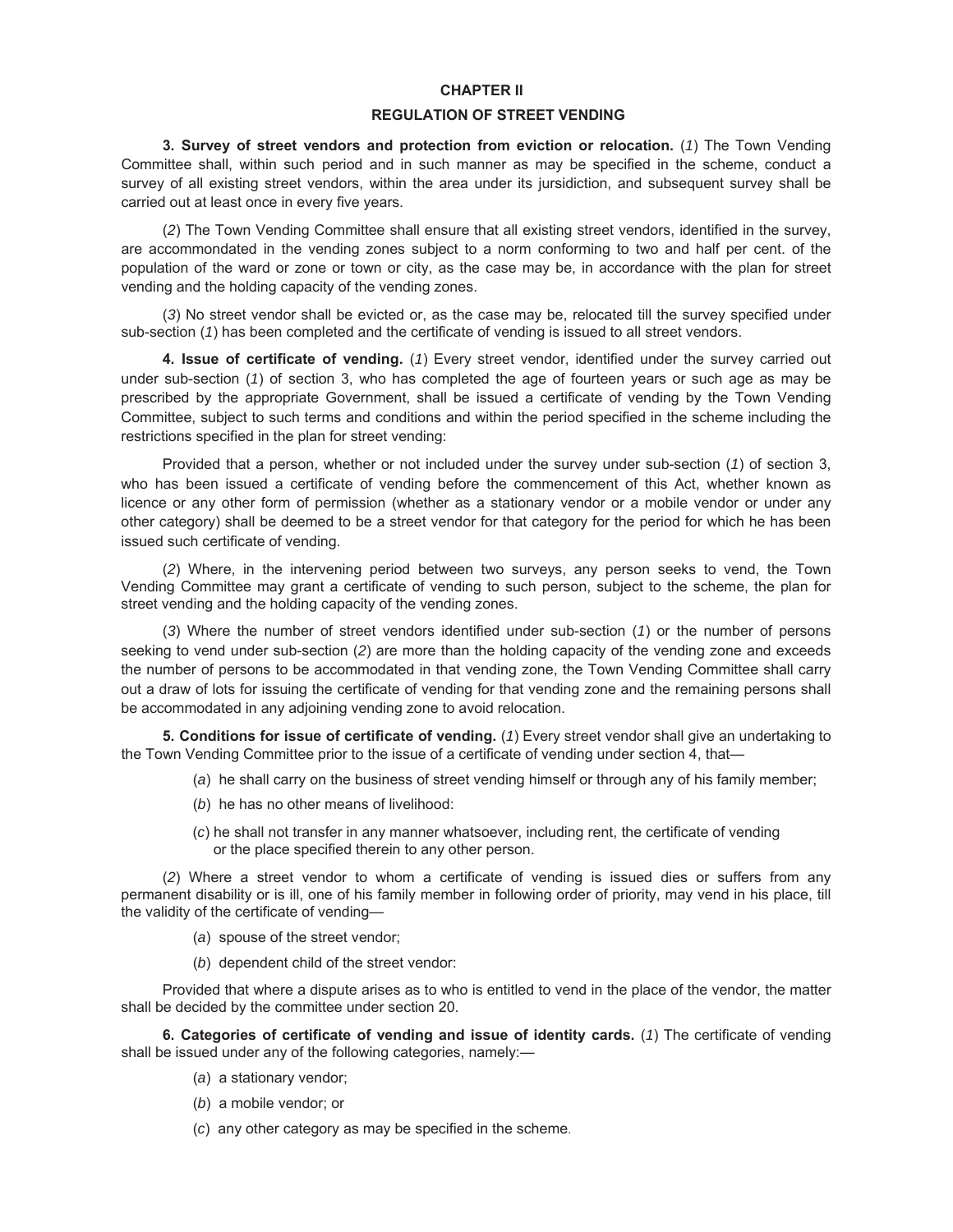## **CHAPTER II**

#### **REGULATION OF STREET VENDING**

**3. Survey of street vendors and protection from eviction or relocation.** (*1*) The Town Vending Committee shall, within such period and in such manner as may be specified in the scheme, conduct a survey of all existing street vendors, within the area under its jursidiction, and subsequent survey shall be carried out at least once in every five years.

(*2*) The Town Vending Committee shall ensure that all existing street vendors, identified in the survey, are accommondated in the vending zones subject to a norm conforming to two and half per cent. of the population of the ward or zone or town or city, as the case may be, in accordance with the plan for street vending and the holding capacity of the vending zones.

(*3*) No street vendor shall be evicted or, as the case may be, relocated till the survey specified under sub-section (1) has been completed and the certificate of vending is issued to all street vendors.

**4. Issue of certificate of vending.** (*1*) Every street vendor, identified under the survey carried out under sub-section (*1*) of section 3, who has completed the age of fourteen years or such age as may be prescribed by the appropriate Government, shall be issued a certificate of vending by the Town Vending Committee, subject to such terms and conditions and within the period specified in the scheme including the restrictions specified in the plan for street vending:

Provided that a person, whether or not included under the survey under sub-section (*1*) of section 3, who has been issued a certificate of vending before the commencement of this Act, whether known as licence or any other form of permission (whether as a stationary vendor or a mobile vendor or under any other category) shall be deemed to be a street vendor for that category for the period for which he has been issued such certificate of vending.

(*2*) Where, in the intervening period between two surveys, any person seeks to vend, the Town Vending Committee may grant a certificate of vending to such person, subject to the scheme, the plan for street vending and the holding capacity of the vending zones.

(*3*) Where the number of street vendors identified under sub-section (*1*) or the number of persons seeking to vend under sub-section (*2*) are more than the holding capacity of the vending zone and exceeds the number of persons to be accommodated in that vending zone, the Town Vending Committee shall carry out a draw of lots for issuing the certificate of vending for that vending zone and the remaining persons shall be accommodated in any adjoining vending zone to avoid relocation.

**5. Conditions for issue of certificate of vending.** (*1*) Every street vendor shall give an undertaking to the Town Vending Committee prior to the issue of a certificate of vending under section 4, that—

- (*a*) he shall carry on the business of street vending himself or through any of his family member;
- (*b*) he has no other means of livelihood:
- (*c*) he shall not transfer in any manner whatsoever, including rent, the certificate of vending or the place specified therein to any other person.

(*2*) Where a street vendor to whom a certificate of vending is issued dies or suffers from any permanent disability or is ill, one of his family member in following order of priority, may vend in his place, till the validity of the certificate of vending—

- (*a*) spouse of the street vendor;
- (*b*) dependent child of the street vendor:

Provided that where a dispute arises as to who is entitled to vend in the place of the vendor, the matter shall be decided by the committee under section 20.

**6. Categories of certificate of vending and issue of identity cards.** (*1*) The certificate of vending shall be issued under any of the following categories, namely:—

- (*a*) a stationary vendor;
- (*b*) a mobile vendor; or
- (*c*) any other category as may be specified in the scheme.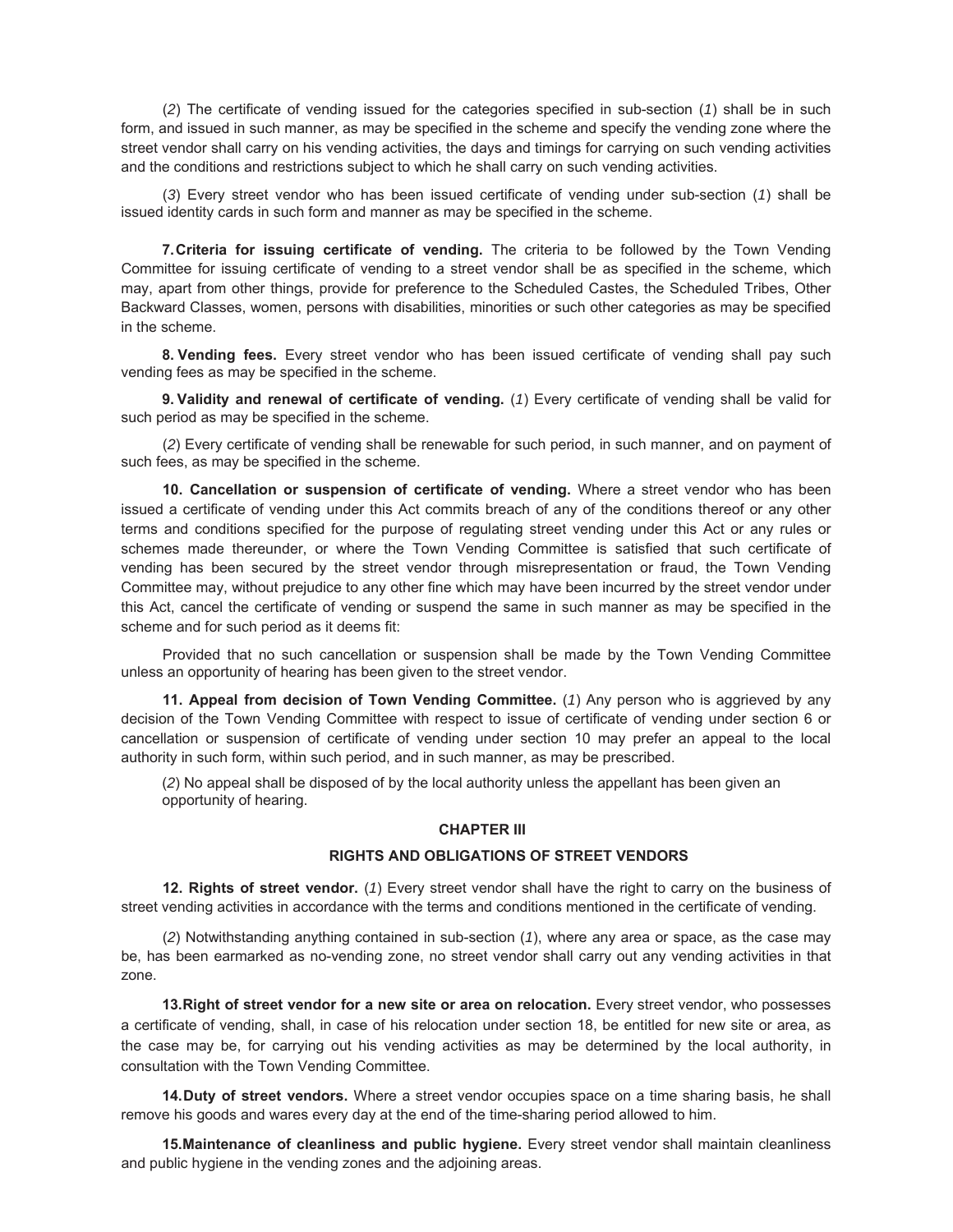(*2*) The certificate of vending issued for the categories specified in sub-section (*1*) shall be in such form, and issued in such manner, as may be specified in the scheme and specify the vending zone where the street vendor shall carry on his vending activities, the days and timings for carrying on such vending activities and the conditions and restrictions subject to which he shall carry on such vending activities.

(*3*) Every street vendor who has been issued certificate of vending under sub-section (*1*) shall be issued identity cards in such form and manner as may be specified in the scheme.

**7. Criteria for issuing certificate of vending.** The criteria to be followed by the Town Vending Committee for issuing certificate of vending to a street vendor shall be as specified in the scheme, which may, apart from other things, provide for preference to the Scheduled Castes, the Scheduled Tribes, Other Backward Classes, women, persons with disabilities, minorities or such other categories as may be specified in the scheme.

**8. Vending fees.** Every street vendor who has been issued certificate of vending shall pay such vending fees as may be specified in the scheme.

**9. Validity and renewal of certificate of vending.** (*1*) Every certificate of vending shall be valid for such period as may be specified in the scheme.

(*2*) Every certificate of vending shall be renewable for such period, in such manner, and on payment of such fees, as may be specified in the scheme.

**10. Cancellation or suspension of certificate of vending.** Where a street vendor who has been issued a certificate of vending under this Act commits breach of any of the conditions thereof or any other terms and conditions specified for the purpose of regulating street vending under this Act or any rules or schemes made thereunder, or where the Town Vending Committee is satisfied that such certificate of vending has been secured by the street vendor through misrepresentation or fraud, the Town Vending Committee may, without prejudice to any other fine which may have been incurred by the street vendor under this Act, cancel the certificate of vending or suspend the same in such manner as may be specified in the scheme and for such period as it deems fit:

Provided that no such cancellation or suspension shall be made by the Town Vending Committee unless an opportunity of hearing has been given to the street vendor.

**11. Appeal from decision of Town Vending Committee.** (*1*) Any person who is aggrieved by any decision of the Town Vending Committee with respect to issue of certificate of vending under section 6 or cancellation or suspension of certificate of vending under section 10 may prefer an appeal to the local authority in such form, within such period, and in such manner, as may be prescribed.

(*2*) No appeal shall be disposed of by the local authority unless the appellant has been given an opportunity of hearing.

## **CHAPTER III**

# **RIGHTS AND OBLIGATIONS OF STREET VENDORS**

**12. Rights of street vendor.** (*1*) Every street vendor shall have the right to carry on the business of street vending activities in accordance with the terms and conditions mentioned in the certificate of vending.

(*2*) Notwithstanding anything contained in sub-section (*1*), where any area or space, as the case may be, has been earmarked as no-vending zone, no street vendor shall carry out any vending activities in that zone.

**13. Right of street vendor for a new site or area on relocation.** Every street vendor, who possesses a certificate of vending, shall, in case of his relocation under section 18, be entitled for new site or area, as the case may be, for carrying out his vending activities as may be determined by the local authority, in consultation with the Town Vending Committee.

**14. Duty of street vendors.** Where a street vendor occupies space on a time sharing basis, he shall remove his goods and wares every day at the end of the time-sharing period allowed to him.

**15.Maintenance of cleanliness and public hygiene.** Every street vendor shall maintain cleanliness and public hygiene in the vending zones and the adjoining areas.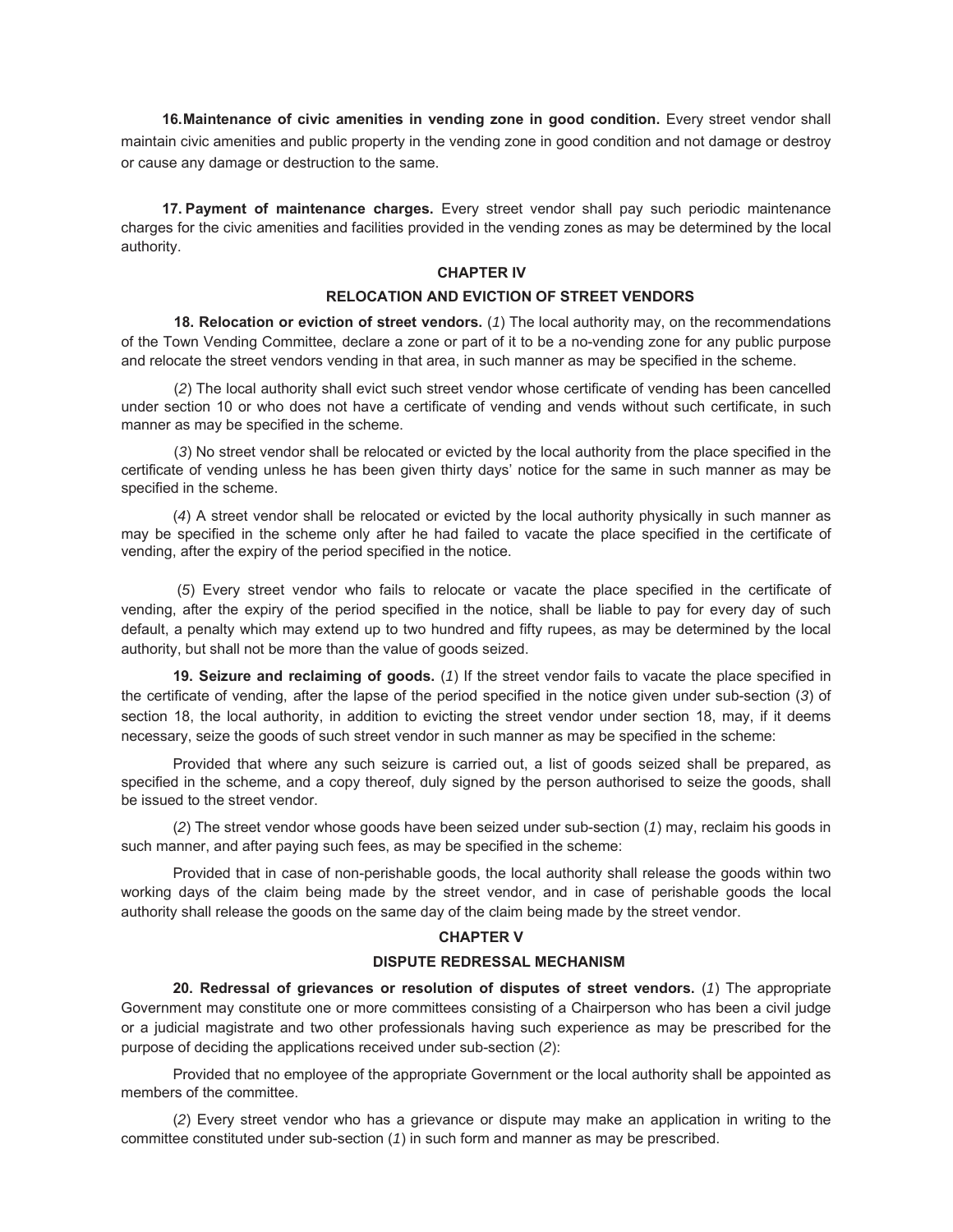**16. Maintenance of civic amenities in vending zone in good condition.** Every street vendor shall maintain civic amenities and public property in the vending zone in good condition and not damage or destroy or cause any damage or destruction to the same.

**17. Payment of maintenance charges.** Every street vendor shall pay such periodic maintenance charges for the civic amenities and facilities provided in the vending zones as may be determined by the local authority.

# **CHAPTER IV**

## **RELOCATION AND EVICTION OF STREET VENDORS**

**18. Relocation or eviction of street vendors.** (*1*) The local authority may, on the recommendations of the Town Vending Committee, declare a zone or part of it to be a no-vending zone for any public purpose and relocate the street vendors vending in that area, in such manner as may be specified in the scheme.

(*2*) The local authority shall evict such street vendor whose certificate of vending has been cancelled under section 10 or who does not have a certificate of vending and vends without such certificate, in such manner as may be specified in the scheme.

(*3*) No street vendor shall be relocated or evicted by the local authority from the place specified in the certificate of vending unless he has been given thirty days' notice for the same in such manner as may be specified in the scheme.

(*4*) A street vendor shall be relocated or evicted by the local authority physically in such manner as may be specified in the scheme only after he had failed to vacate the place specified in the certificate of vending, after the expiry of the period specified in the notice.

 (*5*) Every street vendor who fails to relocate or vacate the place specified in the certificate of vending, after the expiry of the period specified in the notice, shall be liable to pay for every day of such default, a penalty which may extend up to two hundred and fifty rupees, as may be determined by the local authority, but shall not be more than the value of goods seized.

**19. Seizure and reclaiming of goods.** (*1*) If the street vendor fails to vacate the place specified in the certificate of vending, after the lapse of the period specified in the notice given under sub-section (*3*) of section 18, the local authority, in addition to evicting the street vendor under section 18, may, if it deems necessary, seize the goods of such street vendor in such manner as may be specified in the scheme:

Provided that where any such seizure is carried out, a list of goods seized shall be prepared, as specified in the scheme, and a copy thereof, duly signed by the person authorised to seize the goods, shall be issued to the street vendor.

(*2*) The street vendor whose goods have been seized under sub-section (*1*) may, reclaim his goods in such manner, and after paying such fees, as may be specified in the scheme:

Provided that in case of non-perishable goods, the local authority shall release the goods within two working days of the claim being made by the street vendor, and in case of perishable goods the local authority shall release the goods on the same day of the claim being made by the street vendor.

#### **CHAPTER V**

### **DISPUTE REDRESSAL MECHANISM**

**20. Redressal of grievances or resolution of disputes of street vendors.** (*1*) The appropriate Government may constitute one or more committees consisting of a Chairperson who has been a civil judge or a judicial magistrate and two other professionals having such experience as may be prescribed for the purpose of deciding the applications received under sub-section (*2*):

Provided that no employee of the appropriate Government or the local authority shall be appointed as members of the committee.

(*2*) Every street vendor who has a grievance or dispute may make an application in writing to the committee constituted under sub-section (*1*) in such form and manner as may be prescribed.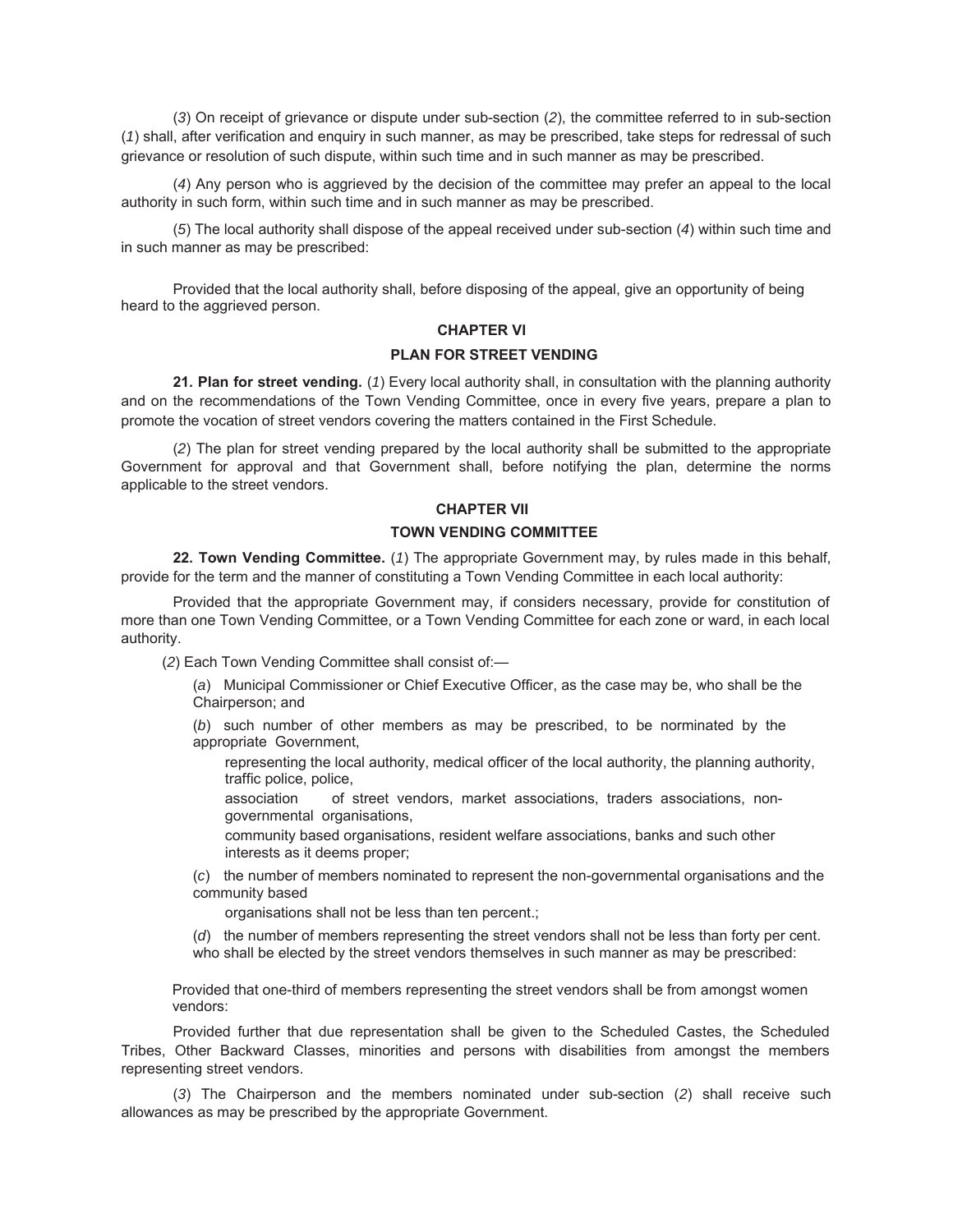(*3*) On receipt of grievance or dispute under sub-section (*2*), the committee referred to in sub-section (*1*) shall, after verification and enquiry in such manner, as may be prescribed, take steps for redressal of such grievance or resolution of such dispute, within such time and in such manner as may be prescribed.

(*4*) Any person who is aggrieved by the decision of the committee may prefer an appeal to the local authority in such form, within such time and in such manner as may be prescribed.

(*5*) The local authority shall dispose of the appeal received under sub-section (*4*) within such time and in such manner as may be prescribed:

Provided that the local authority shall, before disposing of the appeal, give an opportunity of being heard to the aggrieved person.

# **CHAPTER VI**

## **PLAN FOR STREET VENDING**

**21. Plan for street vending.** (*1*) Every local authority shall, in consultation with the planning authority and on the recommendations of the Town Vending Committee, once in every five years, prepare a plan to promote the vocation of street vendors covering the matters contained in the First Schedule.

(*2*) The plan for street vending prepared by the local authority shall be submitted to the appropriate Government for approval and that Government shall, before notifying the plan, determine the norms applicable to the street vendors.

#### **CHAPTER VII**

# **TOWN VENDING COMMITTEE**

**22. Town Vending Committee.** (*1*) The appropriate Government may, by rules made in this behalf, provide for the term and the manner of constituting a Town Vending Committee in each local authority:

Provided that the appropriate Government may, if considers necessary, provide for constitution of more than one Town Vending Committee, or a Town Vending Committee for each zone or ward, in each local authority.

(*2*) Each Town Vending Committee shall consist of:—

(*a*) Municipal Commissioner or Chief Executive Officer, as the case may be, who shall be the Chairperson; and

(*b*) such number of other members as may be prescribed, to be norminated by the appropriate Government,

representing the local authority, medical officer of the local authority, the planning authority, traffic police, police,

association of street vendors, market associations, traders associations, nongovernmental organisations,

community based organisations, resident welfare associations, banks and such other interests as it deems proper;

(*c*) the number of members nominated to represent the non-governmental organisations and the community based

organisations shall not be less than ten percent.;

(*d*) the number of members representing the street vendors shall not be less than forty per cent. who shall be elected by the street vendors themselves in such manner as may be prescribed:

Provided that one-third of members representing the street vendors shall be from amongst women vendors:

Provided further that due representation shall be given to the Scheduled Castes, the Scheduled Tribes, Other Backward Classes, minorities and persons with disabilities from amongst the members representing street vendors.

(*3*) The Chairperson and the members nominated under sub-section (*2*) shall receive such allowances as may be prescribed by the appropriate Government.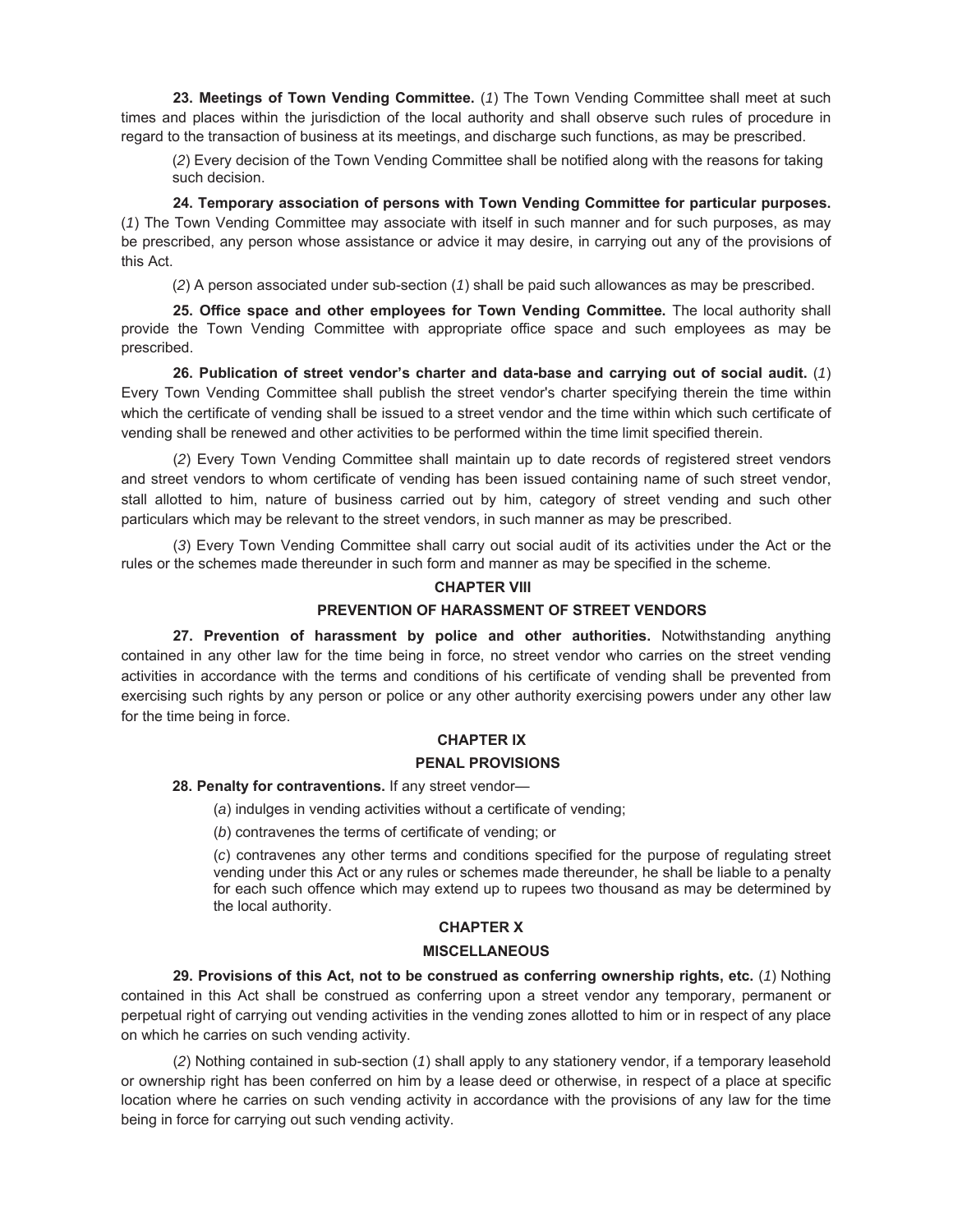**23. Meetings of Town Vending Committee.** (*1*) The Town Vending Committee shall meet at such times and places within the jurisdiction of the local authority and shall observe such rules of procedure in regard to the transaction of business at its meetings, and discharge such functions, as may be prescribed.

(*2*) Every decision of the Town Vending Committee shall be notified along with the reasons for taking such decision.

**24. Temporary association of persons with Town Vending Committee for particular purposes.**  (*1*) The Town Vending Committee may associate with itself in such manner and for such purposes, as may be prescribed, any person whose assistance or advice it may desire, in carrying out any of the provisions of this Act.

(*2*) A person associated under sub-section (*1*) shall be paid such allowances as may be prescribed.

**25. Office space and other employees for Town Vending Committee.** The local authority shall provide the Town Vending Committee with appropriate office space and such employees as may be prescribed.

**26. Publication of street vendor's charter and data-base and carrying out of social audit.** (*1*) Every Town Vending Committee shall publish the street vendor's charter specifying therein the time within which the certificate of vending shall be issued to a street vendor and the time within which such certificate of vending shall be renewed and other activities to be performed within the time limit specified therein.

(*2*) Every Town Vending Committee shall maintain up to date records of registered street vendors and street vendors to whom certificate of vending has been issued containing name of such street vendor, stall allotted to him, nature of business carried out by him, category of street vending and such other particulars which may be relevant to the street vendors, in such manner as may be prescribed.

(*3*) Every Town Vending Committee shall carry out social audit of its activities under the Act or the rules or the schemes made thereunder in such form and manner as may be specified in the scheme.

#### **CHAPTER VIII**

## **PREVENTION OF HARASSMENT OF STREET VENDORS**

**27. Prevention of harassment by police and other authorities.** Notwithstanding anything contained in any other law for the time being in force, no street vendor who carries on the street vending activities in accordance with the terms and conditions of his certificate of vending shall be prevented from exercising such rights by any person or police or any other authority exercising powers under any other law for the time being in force.

# **CHAPTER IX PENAL PROVISIONS**

# **28. Penalty for contraventions.** If any street vendor—

(*a*) indulges in vending activities without a certificate of vending;

(*b*) contravenes the terms of certificate of vending; or

(*c*) contravenes any other terms and conditions specified for the purpose of regulating street vending under this Act or any rules or schemes made thereunder, he shall be liable to a penalty for each such offence which may extend up to rupees two thousand as may be determined by the local authority.

## **CHAPTER X**

## **MISCELLANEOUS**

**29. Provisions of this Act, not to be construed as conferring ownership rights, etc.** (*1*) Nothing contained in this Act shall be construed as conferring upon a street vendor any temporary, permanent or perpetual right of carrying out vending activities in the vending zones allotted to him or in respect of any place on which he carries on such vending activity.

(*2*) Nothing contained in sub-section (*1*) shall apply to any stationery vendor, if a temporary leasehold or ownership right has been conferred on him by a lease deed or otherwise, in respect of a place at specific location where he carries on such vending activity in accordance with the provisions of any law for the time being in force for carrying out such vending activity.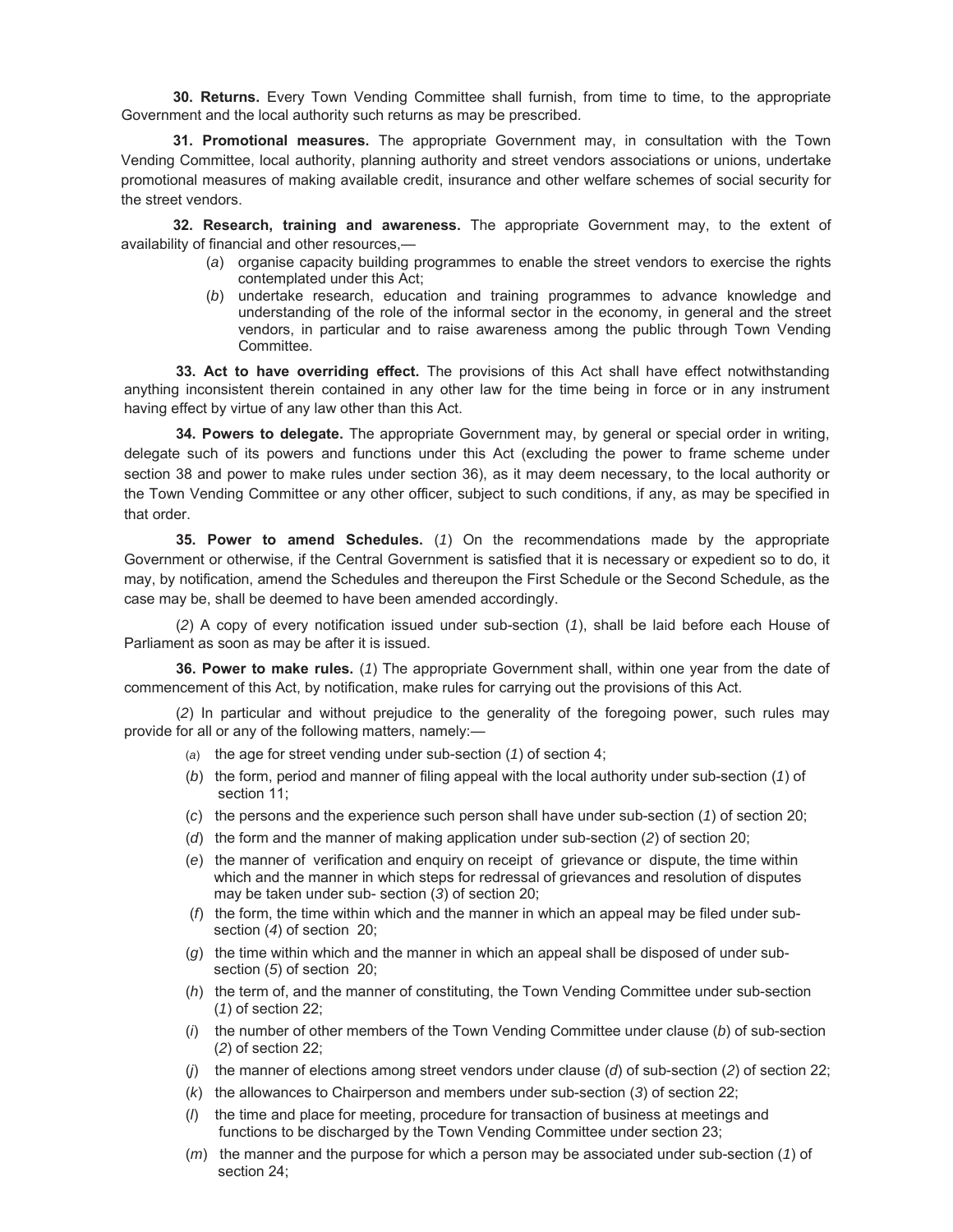**30. Returns.** Every Town Vending Committee shall furnish, from time to time, to the appropriate Government and the local authority such returns as may be prescribed.

**31. Promotional measures.** The appropriate Government may, in consultation with the Town Vending Committee, local authority, planning authority and street vendors associations or unions, undertake promotional measures of making available credit, insurance and other welfare schemes of social security for the street vendors.

**32. Research, training and awareness.** The appropriate Government may, to the extent of availability of financial and other resources,—

- (*a*) organise capacity building programmes to enable the street vendors to exercise the rights contemplated under this Act;
- (*b*) undertake research, education and training programmes to advance knowledge and understanding of the role of the informal sector in the economy, in general and the street vendors, in particular and to raise awareness among the public through Town Vending Committee.

**33. Act to have overriding effect.** The provisions of this Act shall have effect notwithstanding anything inconsistent therein contained in any other law for the time being in force or in any instrument having effect by virtue of any law other than this Act.

**34. Powers to delegate.** The appropriate Government may, by general or special order in writing, delegate such of its powers and functions under this Act (excluding the power to frame scheme under section 38 and power to make rules under section 36), as it may deem necessary, to the local authority or the Town Vending Committee or any other officer, subject to such conditions, if any, as may be specified in that order.

**35. Power to amend Schedules.** (*1*) On the recommendations made by the appropriate Government or otherwise, if the Central Government is satisfied that it is necessary or expedient so to do, it may, by notification, amend the Schedules and thereupon the First Schedule or the Second Schedule, as the case may be, shall be deemed to have been amended accordingly.

(*2*) A copy of every notification issued under sub-section (*1*), shall be laid before each House of Parliament as soon as may be after it is issued.

**36. Power to make rules.** (*1*) The appropriate Government shall, within one year from the date of commencement of this Act, by notification, make rules for carrying out the provisions of this Act.

(*2*) In particular and without prejudice to the generality of the foregoing power, such rules may provide for all or any of the following matters, namely:—

- (*a*) the age for street vending under sub-section (*1*) of section 4;
- (*b*) the form, period and manner of filing appeal with the local authority under sub-section (*1*) of section 11;
- (*c*) the persons and the experience such person shall have under sub-section (*1*) of section 20;
- (*d*) the form and the manner of making application under sub-section (*2*) of section 20;
- (*e*) the manner of verification and enquiry on receipt of grievance or dispute, the time within which and the manner in which steps for redressal of grievances and resolution of disputes may be taken under sub- section (*3*) of section 20;<br>(*f*) the form, the time within which and the manner in which an appeal may be filed under sub-
- section (*4*) of section 20;
- (*g*) the time within which and the manner in which an appeal shall be disposed of under sub section (*5*) of section 20;
- (*h*) the term of, and the manner of constituting, the Town Vending Committee under sub-section (*1*) of section 22;
- (*i*) the number of other members of the Town Vending Committee under clause (*b*) of sub-section (*2*) of section 22;
- (*j*) the manner of elections among street vendors under clause (*d*) of sub-section (*2*) of section 22;
- (*k*) the allowances to Chairperson and members under sub-section (*3*) of section 22;
- (*l*) the time and place for meeting, procedure for transaction of business at meetings and functions to be discharged by the Town Vending Committee under section 23;
- (*m*) the manner and the purpose for which a person may be associated under sub-section (*1*) of section 24;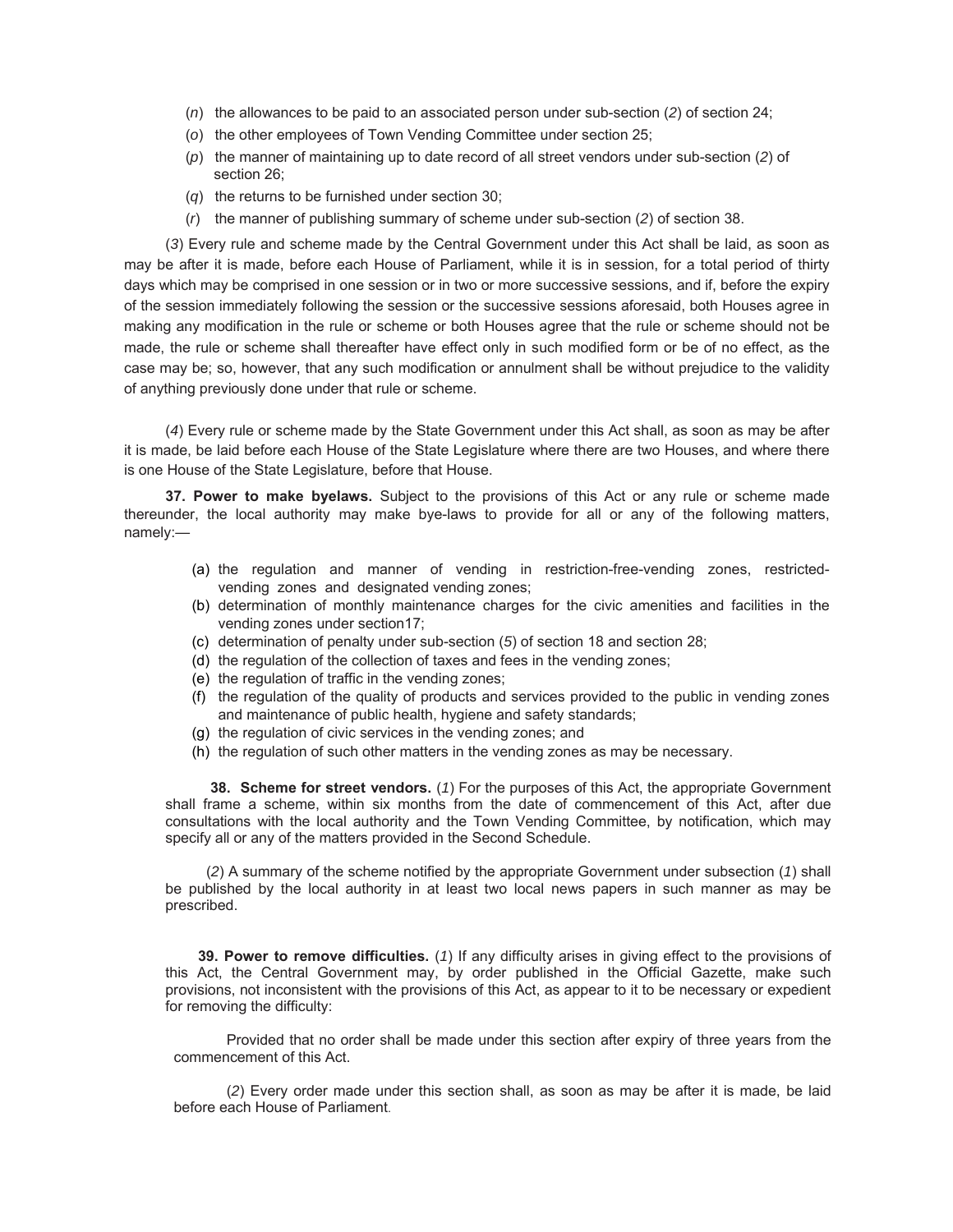- (*n*) the allowances to be paid to an associated person under sub-section (*2*) of section 24;
- (*o*) the other employees of Town Vending Committee under section 25;
- (*p*) the manner of maintaining up to date record of all street vendors under sub-section (*2*) of section 26;
- (*q*) the returns to be furnished under section 30;
- (*r*) the manner of publishing summary of scheme under sub-section (*2*) of section 38.

(*3*) Every rule and scheme made by the Central Government under this Act shall be laid, as soon as may be after it is made, before each House of Parliament, while it is in session, for a total period of thirty days which may be comprised in one session or in two or more successive sessions, and if, before the expiry of the session immediately following the session or the successive sessions aforesaid, both Houses agree in making any modification in the rule or scheme or both Houses agree that the rule or scheme should not be made, the rule or scheme shall thereafter have effect only in such modified form or be of no effect, as the case may be; so, however, that any such modification or annulment shall be without prejudice to the validity of anything previously done under that rule or scheme.

(*4*) Every rule or scheme made by the State Government under this Act shall, as soon as may be after it is made, be laid before each House of the State Legislature where there are two Houses, and where there is one House of the State Legislature, before that House.

**37. Power to make byelaws.** Subject to the provisions of this Act or any rule or scheme made thereunder, the local authority may make bye-laws to provide for all or any of the following matters, namely:—

- (a) the regulation and manner of vending in restriction-free-vending zones, restrictedvending zones and designated vending zones;
- (b) determination of monthly maintenance charges for the civic amenities and facilities in the vending zones under section17;
- (c) determination of penalty under sub-section (*5*) of section 18 and section 28;
- (d) the regulation of the collection of taxes and fees in the vending zones;
- (e) the regulation of traffic in the vending zones;
- (f) the regulation of the quality of products and services provided to the public in vending zones and maintenance of public health, hygiene and safety standards;
- (g) the regulation of civic services in the vending zones; and
- (h) the regulation of such other matters in the vending zones as may be necessary.

 **38. Scheme for street vendors.** (*1*) For the purposes of this Act, the appropriate Government shall frame a scheme, within six months from the date of commencement of this Act, after due consultations with the local authority and the Town Vending Committee, by notification, which may specify all or any of the matters provided in the Second Schedule.

 (*2*) A summary of the scheme notified by the appropriate Government under subsection (*1*) shall be published by the local authority in at least two local news papers in such manner as may be prescribed.

 **39. Power to remove difficulties.** (*1*) If any difficulty arises in giving effect to the provisions of this Act, the Central Government may, by order published in the Official Gazette, make such provisions, not inconsistent with the provisions of this Act, as appear to it to be necessary or expedient for removing the difficulty:

Provided that no order shall be made under this section after expiry of three years from the commencement of this Act.

(*2*) Every order made under this section shall, as soon as may be after it is made, be laid before each House of Parliament.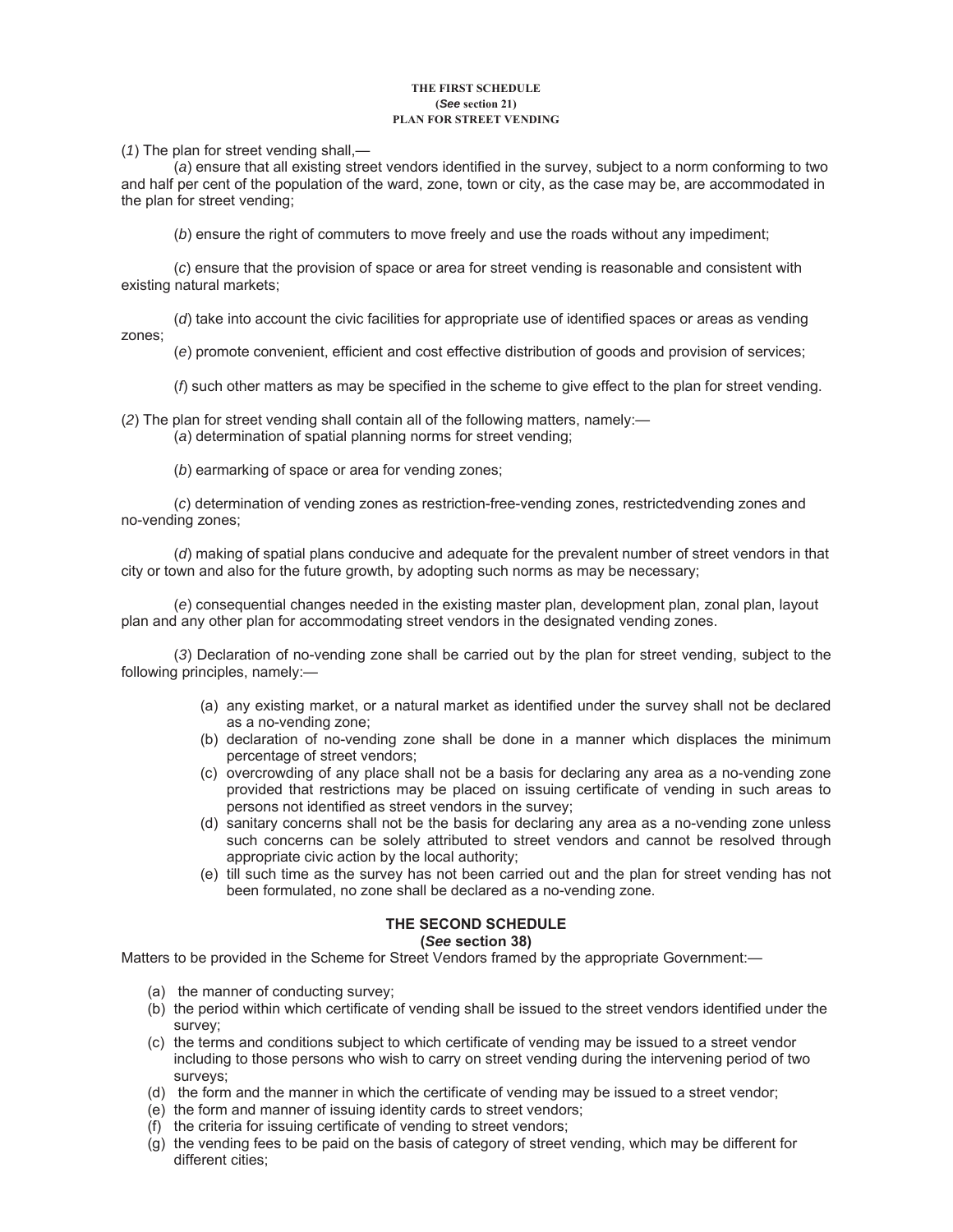#### **THE FIRST SCHEDULE (***See* **section 21) PLAN FOR STREET VENDING**

(*1*) The plan for street vending shall,—

(*a*) ensure that all existing street vendors identified in the survey, subject to a norm conforming to two and half per cent of the population of the ward, zone, town or city, as the case may be, are accommodated in the plan for street vending;

(*b*) ensure the right of commuters to move freely and use the roads without any impediment;

(*c*) ensure that the provision of space or area for street vending is reasonable and consistent with existing natural markets;

(*d*) take into account the civic facilities for appropriate use of identified spaces or areas as vending zones;

(*e*) promote convenient, efficient and cost effective distribution of goods and provision of services;

(*f*) such other matters as may be specified in the scheme to give effect to the plan for street vending.

(*2*) The plan for street vending shall contain all of the following matters, namely:—

(*a*) determination of spatial planning norms for street vending;

(*b*) earmarking of space or area for vending zones;

(*c*) determination of vending zones as restriction-free-vending zones, restrictedvending zones and no-vending zones;

(*d*) making of spatial plans conducive and adequate for the prevalent number of street vendors in that city or town and also for the future growth, by adopting such norms as may be necessary;

(*e*) consequential changes needed in the existing master plan, development plan, zonal plan, layout plan and any other plan for accommodating street vendors in the designated vending zones.

(*3*) Declaration of no-vending zone shall be carried out by the plan for street vending, subject to the following principles, namely:—

- (a) any existing market, or a natural market as identified under the survey shall not be declared as a no-vending zone;
- (b) declaration of no-vending zone shall be done in a manner which displaces the minimum percentage of street vendors;
- (c) overcrowding of any place shall not be a basis for declaring any area as a no-vending zone provided that restrictions may be placed on issuing certificate of vending in such areas to persons not identified as street vendors in the survey;
- (d) sanitary concerns shall not be the basis for declaring any area as a no-vending zone unless such concerns can be solely attributed to street vendors and cannot be resolved through appropriate civic action by the local authority;
- (e) till such time as the survey has not been carried out and the plan for street vending has not been formulated, no zone shall be declared as a no-vending zone.

#### **THE SECOND SCHEDULE (***See* **section 38)**

Matters to be provided in the Scheme for Street Vendors framed by the appropriate Government:—

- (a) the manner of conducting survey;
- (b) the period within which certificate of vending shall be issued to the street vendors identified under the survey;
- (c) the terms and conditions subject to which certificate of vending may be issued to a street vendor including to those persons who wish to carry on street vending during the intervening period of two surveys;
- (d) the form and the manner in which the certificate of vending may be issued to a street vendor;
- (e) the form and manner of issuing identity cards to street vendors;
- (f) the criteria for issuing certificate of vending to street vendors;
- (g) the vending fees to be paid on the basis of category of street vending, which may be different for different cities;